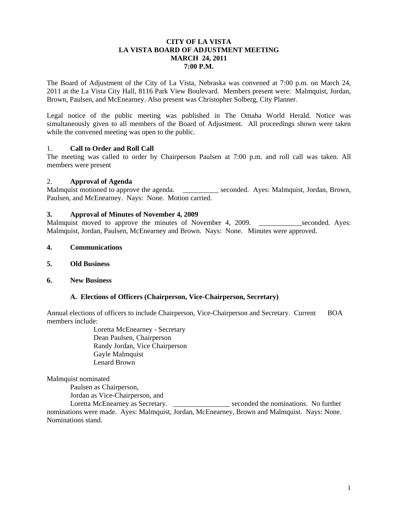### **CITY OF LA VISTA LA VISTA BOARD OF ADJUSTMENT MEETING MARCH 24, 2011 7:00 P.M.**

The Board of Adjustment of the City of La Vista, Nebraska was convened at 7:00 p.m. on March 24, 2011 at the La Vista City Hall, 8116 Park View Boulevard. Members present were: Malmquist, Jordan, Brown, Paulsen, and McEnearney. Also present was Christopher Solberg, City Planner.

Legal notice of the public meeting was published in The Omaha World Herald. Notice was simultaneously given to all members of the Board of Adjustment. All proceedings shown were taken while the convened meeting was open to the public.

# 1. **Call to Order and Roll Call**

The meeting was called to order by Chairperson Paulsen at 7:00 p.m. and roll call was taken. All members were present

#### 2. **Approval of Agenda**

Malmquist motioned to approve the agenda. \_\_\_\_\_\_\_\_\_\_\_\_ seconded. Ayes: Malmquist, Jordan, Brown, Paulsen, and McEnearney. Nays: None. Motion carried.

#### **3. Approval of Minutes of November 4, 2009**

Malmquist moved to approve the minutes of November 4, 2009. Seconded. Ayes: Malmquist, Jordan, Paulsen, McEnearney and Brown. Nays: None. Minutes were approved.

- **4. Communications**
- **5. Old Business**
- **6. New Business**

#### **A. Elections of Officers (Chairperson, Vice-Chairperson, Secretary)**

Annual elections of officers to include Chairperson, Vice-Chairperson and Secretary. Current BOA members include:

> Loretta McEnearney - Secretary Dean Paulsen, Chairperson Randy Jordan, Vice Chairperson Gayle Malmquist Lenard Brown

Malmquist nominated

Paulsen as Chairperson,

Jordan as Vice-Chairperson, and

Loretta McEnearney as Secretary. \_\_\_\_\_\_\_\_\_\_\_\_\_\_\_\_\_\_ seconded the nominations. No further nominations were made. Ayes: Malmquist, Jordan, McEnearney, Brown and Malmquist. Nays: None. Nominations stand.